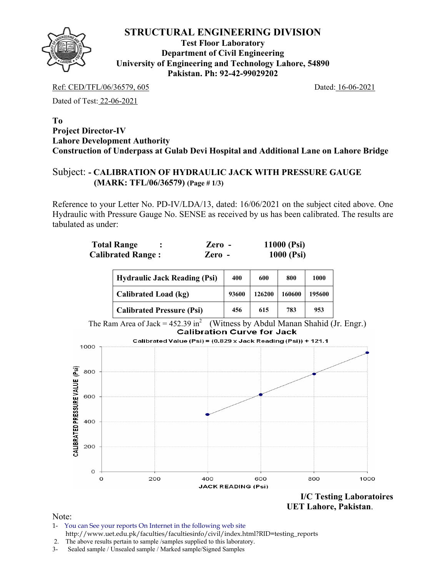**Test Floor Laboratory Department of Civil Engineering University of Engineering and Technology Lahore, 54890 Pakistan. Ph: 92-42-99029202** 

Ref: CED/TFL/06/36579, 605 Dated: 16-06-2021

Dated of Test: 22-06-2021

#### **To Project Director-IV Lahore Development Authority Construction of Underpass at Gulab Devi Hospital and Additional Lane on Lahore Bridge**

## Subject: **- CALIBRATION OF HYDRAULIC JACK WITH PRESSURE GAUGE (MARK: TFL/06/36579) (Page # 1/3)**

Reference to your Letter No. PD-IV/LDA/13, dated: 16/06/2021 on the subject cited above. One Hydraulic with Pressure Gauge No. SENSE as received by us has been calibrated. The results are tabulated as under:

| <b>Total Range</b>       | Zero - | 11000 $(Psi)$ |
|--------------------------|--------|---------------|
| <b>Calibrated Range:</b> | Zero - | 1000 (Psi)    |

| <b>Hydraulic Jack Reading (Psi)</b> | 400   | 600    | 800    | 1000   |
|-------------------------------------|-------|--------|--------|--------|
| Calibrated Load (kg)                | 93600 | 126200 | 160600 | 195600 |
| <b>Calibrated Pressure (Psi)</b>    | 456   | 615    | 783    | 953    |

The Ram Area of Jack =  $452.39 \text{ in}^2$  (Witness by Abdul Manan Shahid (Jr. Engr.)<br>Calibration Curve for Jack



 **UET Lahore, Pakistan**.

- 1- You can See your reports On Internet in the following web site http://www.uet.edu.pk/faculties/facultiesinfo/civil/index.html?RID=testing\_reports
- 2. The above results pertain to sample /samples supplied to this laboratory.
- 3- Sealed sample / Unsealed sample / Marked sample/Signed Samples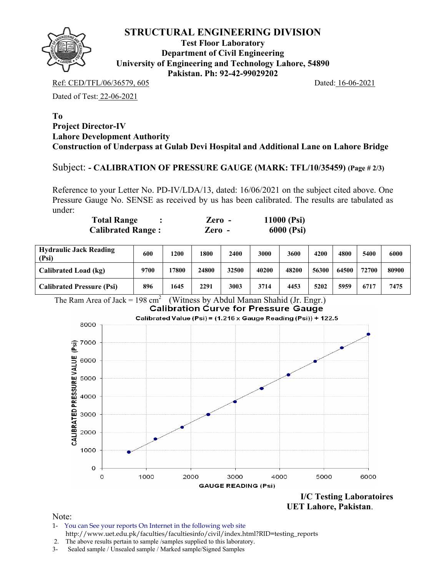

**Test Floor Laboratory Department of Civil Engineering University of Engineering and Technology Lahore, 54890 Pakistan. Ph: 92-42-99029202** 

Ref: CED/TFL/06/36579, 605 Dated: 16-06-2021

Dated of Test: 22-06-2021

#### **To Project Director-IV Lahore Development Authority Construction of Underpass at Gulab Devi Hospital and Additional Lane on Lahore Bridge**

## Subject: **- CALIBRATION OF PRESSURE GAUGE (MARK: TFL/10/35459) (Page # 2/3)**

Reference to your Letter No. PD-IV/LDA/13, dated: 16/06/2021 on the subject cited above. One Pressure Gauge No. SENSE as received by us has been calibrated. The results are tabulated as under:

| <b>Total Range</b>       | $\chi$ <i>Lero –</i> | 11000 $(Psi)$ |
|--------------------------|----------------------|---------------|
| <b>Calibrated Range:</b> | Zero -               | 6000 (Psi)    |

| <b>Hydraulic Jack Reading</b><br>(Psi) | 600  | 1200  | 1800  | 2400  | <b>3000</b> | 3600  | 4200  | 4800  | 5400  | 6000  |
|----------------------------------------|------|-------|-------|-------|-------------|-------|-------|-------|-------|-------|
| Calibrated Load (kg)                   | 9700 | 17800 | 24800 | 32500 | 40200       | 48200 | 56300 | 64500 | 72700 | 80900 |
| <b>Calibrated Pressure (Psi)</b>       | 896  | 1645  | 2291  | 3003  | 3714        | 4453  | 5202  | 5959  | 6717  | 7475  |





- 1- You can See your reports On Internet in the following web site http://www.uet.edu.pk/faculties/facultiesinfo/civil/index.html?RID=testing\_reports
- 2. The above results pertain to sample /samples supplied to this laboratory.
- 3- Sealed sample / Unsealed sample / Marked sample/Signed Samples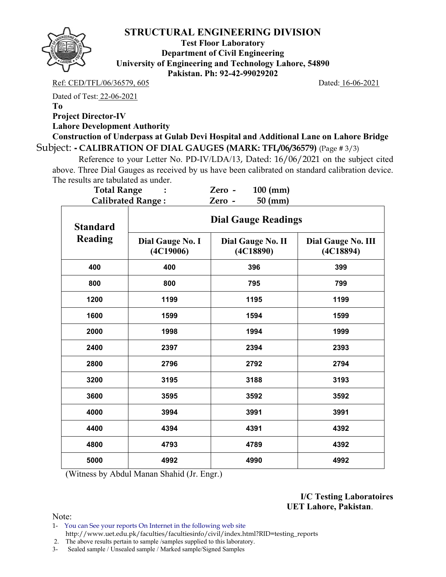

**Test Floor Laboratory Department of Civil Engineering University of Engineering and Technology Lahore, 54890 Pakistan. Ph: 92-42-99029202** 

#### Ref: CED/TFL/06/36579, 605 Dated: 16-06-2021

Dated of Test: 22-06-2021

**To** 

**Project Director-IV** 

**Lahore Development Authority** 

**Construction of Underpass at Gulab Devi Hospital and Additional Lane on Lahore Bridge**  Subject: **- CALIBRATION OF DIAL GAUGES (MARK: TFL/06/36579)** (Page # 3/3)

 Reference to your Letter No. PD-IV/LDA/13, Dated: 16/06/2021 on the subject cited above. Three Dial Gauges as received by us have been calibrated on standard calibration device. The results are tabulated as under.

| <b>Total Range</b> |                               | $100$ (mm)<br>Zero -           |                                 |
|--------------------|-------------------------------|--------------------------------|---------------------------------|
|                    | <b>Calibrated Range:</b>      | $50 \text{ (mm)}$<br>Zero -    |                                 |
| <b>Standard</b>    |                               | <b>Dial Gauge Readings</b>     |                                 |
| <b>Reading</b>     | Dial Gauge No. I<br>(4C19006) | Dial Gauge No. II<br>(4C18890) | Dial Gauge No. III<br>(4C18894) |
| 400                | 400                           | 396                            | 399                             |
| 800                | 800                           | 795                            | 799                             |
| 1200               | 1199                          | 1195                           | 1199                            |
| 1600               | 1599                          | 1594                           | 1599                            |
| 2000               | 1998                          | 1994                           | 1999                            |
| 2400               | 2397                          | 2394                           | 2393                            |
| 2800               | 2796                          | 2792                           | 2794                            |
| 3200               | 3195                          | 3188                           | 3193                            |
| 3600               | 3595                          | 3592                           | 3592                            |
| 4000               | 3994                          | 3991                           | 3991                            |
| 4400               | 4394                          | 4391                           | 4392                            |
| 4800               | 4793                          | 4789                           | 4392                            |
| 5000               | 4992                          | 4990                           | 4992                            |

(Witness by Abdul Manan Shahid (Jr. Engr.)

**I/C Testing Laboratoires UET Lahore, Pakistan**.

Note:

1- You can See your reports On Internet in the following web site http://www.uet.edu.pk/faculties/facultiesinfo/civil/index.html?RID=testing\_reports

2. The above results pertain to sample /samples supplied to this laboratory.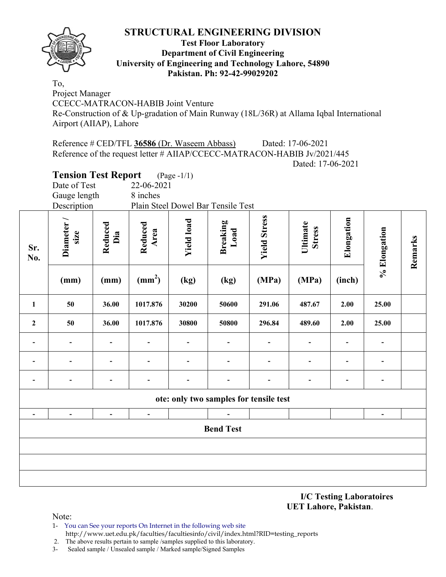

## **Test Floor Laboratory Department of Civil Engineering University of Engineering and Technology Lahore, 54890 Pakistan. Ph: 92-42-99029202**

To, Project Manager CCECC-MATRACON-HABIB Joint Venture Re-Construction of & Up-gradation of Main Runway (18L/36R) at Allama Iqbal International Airport (AIIAP), Lahore

Reference # CED/TFL **36586** (Dr. Waseem Abbass) Dated: 17-06-2021 Reference of the request letter # AIIAP/CCECC-MATRACON-HABIB Jv/2021/445 Dated: 17-06-2021

# **Tension Test Report** (Page -1/1) Date of Test 22-06-2021 Gauge length 8 inches Description Plain Steel Dowel Bar Tensile Test **Yield Stress Yield Stress Elongation Diameter /<br>
size**<br>
Reduced<br>
Reduced<br>
Xield load<br>
Breaking<br>
Breaking Elongation **Ultimate**  Itimate **Stress % Elongation**  % Elongation **Remarks**  Remarks **Sr. No.**   $(mm)$   $(mm)$   $(mm^2)$ **) (kg) (kg) (MPa) (MPa) (inch) 1 50 36.00 1017.876 30200 50600 291.06 487.67 2.00 25.00 2 50 36.00 1017.876 30800 50800 296.84 489.60 2.00 25.00 - - - - - - - - - - - - - - - - - - - - - - - - - - - - - ote: only two samples for tensile test - - - - - - Bend Test**

**I/C Testing Laboratoires UET Lahore, Pakistan**.

Note:

1- You can See your reports On Internet in the following web site http://www.uet.edu.pk/faculties/facultiesinfo/civil/index.html?RID=testing\_reports

2. The above results pertain to sample /samples supplied to this laboratory.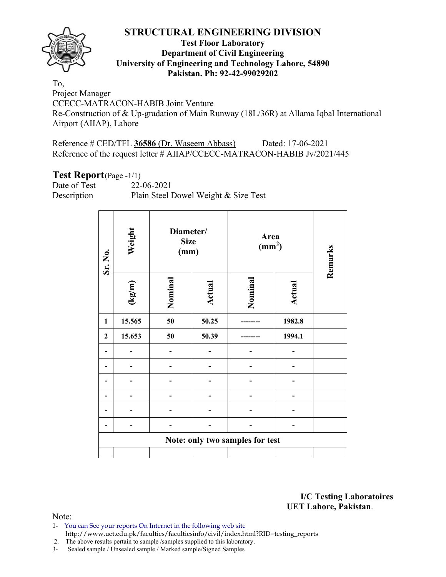

## **Test Floor Laboratory Department of Civil Engineering University of Engineering and Technology Lahore, 54890 Pakistan. Ph: 92-42-99029202**

To, Project Manager CCECC-MATRACON-HABIB Joint Venture Re-Construction of & Up-gradation of Main Runway (18L/36R) at Allama Iqbal International Airport (AIIAP), Lahore

Reference # CED/TFL **36586** (Dr. Waseem Abbass) Dated: 17-06-2021 Reference of the request letter # AIIAP/CCECC-MATRACON-HABIB Jv/2021/445

## **Test Report**(Page -1/1)

Date of Test 22-06-2021 Description Plain Steel Dowel Weight & Size Test

| Sr. No.      | Weight          | Diameter/<br><b>Size</b><br>(mm) |        |                                 | Area<br>(mm <sup>2</sup> ) |         |  |  |
|--------------|-----------------|----------------------------------|--------|---------------------------------|----------------------------|---------|--|--|
|              | $(\text{kg/m})$ | Nominal                          | Actual | Nominal                         | Actual                     | Remarks |  |  |
| 1            | 15.565          | 50                               | 50.25  |                                 | 1982.8                     |         |  |  |
| $\mathbf{2}$ | 15.653          | 50                               | 50.39  |                                 | 1994.1                     |         |  |  |
|              |                 |                                  |        |                                 |                            |         |  |  |
|              |                 |                                  |        |                                 |                            |         |  |  |
|              |                 |                                  |        |                                 |                            |         |  |  |
|              |                 |                                  |        |                                 |                            |         |  |  |
|              |                 |                                  |        |                                 |                            |         |  |  |
|              |                 |                                  |        |                                 |                            |         |  |  |
|              |                 |                                  |        | Note: only two samples for test |                            |         |  |  |
|              |                 |                                  |        |                                 |                            |         |  |  |

**I/C Testing Laboratoires UET Lahore, Pakistan**.

- 1- You can See your reports On Internet in the following web site http://www.uet.edu.pk/faculties/facultiesinfo/civil/index.html?RID=testing\_reports
- 2. The above results pertain to sample /samples supplied to this laboratory.
- 3- Sealed sample / Unsealed sample / Marked sample/Signed Samples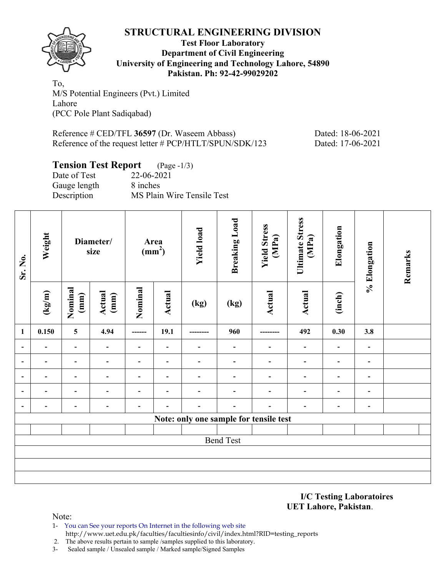

## **Test Floor Laboratory Department of Civil Engineering University of Engineering and Technology Lahore, 54890 Pakistan. Ph: 92-42-99029202**

To, M/S Potential Engineers (Pvt.) Limited Lahore (PCC Pole Plant Sadiqabad)

Reference # CED/TFL **36597** (Dr. Waseem Abbass) Dated: 18-06-2021 Reference of the request letter # PCP/HTLT/SPUN/SDK/123 Dated: 17-06-2021

# **Tension Test Report** (Page -1/3)

| Date of Test | 22-06-2021                 |
|--------------|----------------------------|
| Gauge length | 8 inches                   |
| Description  | MS Plain Wire Tensile Test |

| Sr. No.                  | Weight |                          | Diameter/<br>size        | Area<br>$\frac{1}{2}$ |                          | <b>Yield load</b> | <b>Breaking Load</b>     | <b>Yield Stress</b><br>(MPa)           | <b>Ultimate Stress</b><br>(MPa) | Elongation               | % Elongation                 | Remarks |
|--------------------------|--------|--------------------------|--------------------------|-----------------------|--------------------------|-------------------|--------------------------|----------------------------------------|---------------------------------|--------------------------|------------------------------|---------|
|                          | (kg/m) | Nominal<br>(mm)          | Actual<br>(mm)           | Nominal               | <b>Actual</b>            | (kg)              | (kg)                     | Actual                                 | Actual                          | (inch)                   |                              |         |
| $\mathbf{1}$             | 0.150  | $\overline{\mathbf{5}}$  | 4.94                     |                       | 19.1                     |                   | 960                      |                                        | 492                             | 0.30                     | 3.8                          |         |
| $\overline{\phantom{a}}$ |        | $\overline{\phantom{a}}$ | $\overline{\phantom{a}}$ |                       | $\overline{\phantom{a}}$ |                   | $\overline{\phantom{a}}$ |                                        |                                 | $\overline{\phantom{a}}$ | $\overline{\phantom{a}}$     |         |
| $\overline{\phantom{0}}$ |        | $\overline{\phantom{0}}$ |                          | $\blacksquare$        | $\blacksquare$           |                   | $\blacksquare$           |                                        |                                 |                          | $\overline{\phantom{0}}$     |         |
| $\overline{\phantom{0}}$ |        |                          |                          |                       | -                        |                   |                          |                                        |                                 | -                        |                              |         |
|                          |        |                          |                          |                       |                          |                   |                          |                                        |                                 |                          |                              |         |
|                          |        |                          |                          |                       |                          |                   |                          |                                        |                                 | $\overline{\phantom{0}}$ | $\qquad \qquad \blacksquare$ |         |
|                          |        |                          |                          |                       |                          |                   |                          | Note: only one sample for tensile test |                                 |                          |                              |         |
|                          |        |                          |                          |                       |                          |                   |                          |                                        |                                 |                          |                              |         |
|                          |        |                          |                          |                       |                          |                   | <b>Bend Test</b>         |                                        |                                 |                          |                              |         |
|                          |        |                          |                          |                       |                          |                   |                          |                                        |                                 |                          |                              |         |
|                          |        |                          |                          |                       |                          |                   |                          |                                        |                                 |                          |                              |         |
|                          |        |                          |                          |                       |                          |                   |                          |                                        |                                 |                          |                              |         |

**I/C Testing Laboratoires UET Lahore, Pakistan**.

- 1- You can See your reports On Internet in the following web site http://www.uet.edu.pk/faculties/facultiesinfo/civil/index.html?RID=testing\_reports
- 2. The above results pertain to sample /samples supplied to this laboratory.
- 3- Sealed sample / Unsealed sample / Marked sample/Signed Samples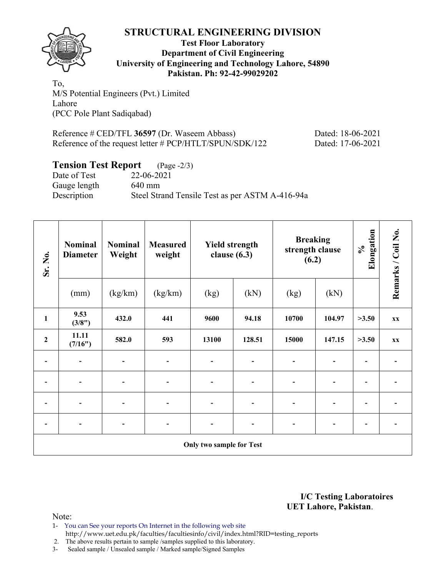

## **Test Floor Laboratory Department of Civil Engineering University of Engineering and Technology Lahore, 54890 Pakistan. Ph: 92-42-99029202**

To, M/S Potential Engineers (Pvt.) Limited Lahore (PCC Pole Plant Sadiqabad)

Reference # CED/TFL **36597** (Dr. Waseem Abbass) Dated: 18-06-2021 Reference of the request letter # PCP/HTLT/SPUN/SDK/122 Dated: 17-06-2021

## **Tension Test Report** (Page -2/3)

Date of Test 22-06-2021 Gauge length 640 mm Description Steel Strand Tensile Test as per ASTM A-416-94a

| Sr. No.          | <b>Nominal</b><br><b>Diameter</b> | <b>Nominal</b><br>Weight | <b>Measured</b><br>weight | <b>Yield strength</b><br>clause $(6.3)$ |                          | <b>Breaking</b><br>strength clause<br>(6.2) |        | Elongation<br>$\mathcal{S}_{\bullet}$ | Remarks / Coil No.           |
|------------------|-----------------------------------|--------------------------|---------------------------|-----------------------------------------|--------------------------|---------------------------------------------|--------|---------------------------------------|------------------------------|
|                  | (mm)                              | (kg/km)                  | (kg/km)                   | (kg)                                    | (kN)                     | (kg)                                        | (kN)   |                                       |                              |
| $\mathbf{1}$     | 9.53<br>(3/8")                    | 432.0                    | 441                       | 9600                                    | 94.18                    | 10700                                       | 104.97 | >3.50                                 | $\mathbf{X} \mathbf{X}$      |
| $\boldsymbol{2}$ | 11.11<br>(7/16")                  | 582.0                    | 593                       | 13100                                   | 128.51                   | 15000                                       | 147.15 | >3.50                                 | $\mathbf{X} \mathbf{X}$      |
|                  | $\blacksquare$                    |                          | $\overline{\phantom{a}}$  | $\blacksquare$                          | $\overline{\phantom{0}}$ | $\blacksquare$                              |        | $\qquad \qquad \blacksquare$          |                              |
|                  |                                   |                          | $\overline{\phantom{a}}$  |                                         |                          |                                             |        | $\qquad \qquad \blacksquare$          |                              |
|                  | $\blacksquare$                    |                          | $\overline{a}$            | $\blacksquare$                          |                          |                                             |        | $\blacksquare$                        |                              |
|                  | $\overline{a}$                    | ٠                        | -                         | $\overline{\phantom{0}}$                | -                        |                                             |        | $\overline{\phantom{a}}$              | $\qquad \qquad \blacksquare$ |
|                  | Only two sample for Test          |                          |                           |                                         |                          |                                             |        |                                       |                              |

**I/C Testing Laboratoires UET Lahore, Pakistan**.

Note:

1- You can See your reports On Internet in the following web site http://www.uet.edu.pk/faculties/facultiesinfo/civil/index.html?RID=testing\_reports

2. The above results pertain to sample /samples supplied to this laboratory.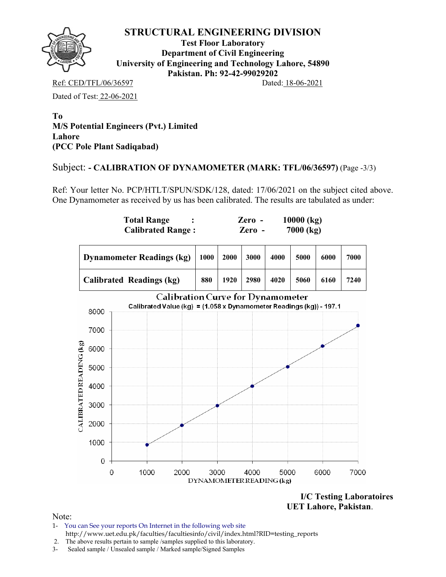

**Test Floor Laboratory Department of Civil Engineering University of Engineering and Technology Lahore, 54890 Pakistan. Ph: 92-42-99029202** 

Ref: CED/TFL/06/36597 Dated: 18-06-2021

Dated of Test: 22-06-2021

**To M/S Potential Engineers (Pvt.) Limited Lahore (PCC Pole Plant Sadiqabad)** 

## Subject: **- CALIBRATION OF DYNAMOMETER (MARK: TFL/06/36597)** (Page -3/3)

Ref: Your letter No. PCP/HTLT/SPUN/SDK/128, dated: 17/06/2021 on the subject cited above. One Dynamometer as received by us has been calibrated. The results are tabulated as under:



**I/C Testing Laboratoires UET Lahore, Pakistan**.

- 1- You can See your reports On Internet in the following web site http://www.uet.edu.pk/faculties/facultiesinfo/civil/index.html?RID=testing\_reports
- 2. The above results pertain to sample /samples supplied to this laboratory.
- 3- Sealed sample / Unsealed sample / Marked sample/Signed Samples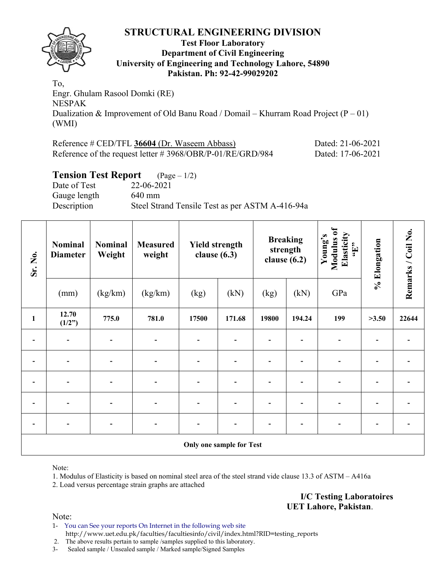

#### **Test Floor Laboratory Department of Civil Engineering University of Engineering and Technology Lahore, 54890 Pakistan. Ph: 92-42-99029202**

To, Engr. Ghulam Rasool Domki (RE) NESPAK Dualization & Improvement of Old Banu Road / Domail – Khurram Road Project  $(P - 01)$ (WMI)

| Reference # CED/TFL 36604 (Dr. Waseem Abbass)                 | Dated: 21-06-2021 |
|---------------------------------------------------------------|-------------------|
| Reference of the request letter $\# 3968/OBR/P-01/RE/GRD/984$ | Dated: 17-06-2021 |

## **Tension Test Report** (Page – 1/2)

Date of Test 22-06-2021 Gauge length 640 mm Description Steel Strand Tensile Test as per ASTM A-416-94a

| Sr. No.      | <b>Nominal</b><br><b>Diameter</b> | <b>Nominal</b><br>Weight | <b>Measured</b><br>weight | <b>Yield strength</b><br>clause $(6.3)$ |        | <b>Breaking</b><br>strength<br>clause $(6.2)$ |        | Modulus of<br>Elasticity<br>Young's<br>$\mathbf{H}$ , | % Elongation | Remarks / Coil No. |
|--------------|-----------------------------------|--------------------------|---------------------------|-----------------------------------------|--------|-----------------------------------------------|--------|-------------------------------------------------------|--------------|--------------------|
|              | (mm)                              | (kg/km)                  | (kg/km)                   | (kg)                                    | (kN)   | (kg)                                          | (kN)   | GPa                                                   |              |                    |
| $\mathbf{1}$ | 12.70<br>(1/2")                   | 775.0                    | 781.0                     | 17500                                   | 171.68 | 19800                                         | 194.24 | 199                                                   | >3.50        | 22644              |
|              |                                   |                          |                           |                                         |        |                                               |        |                                                       |              |                    |
|              |                                   |                          |                           |                                         |        |                                               |        |                                                       |              |                    |
|              |                                   |                          |                           |                                         |        |                                               |        |                                                       |              |                    |
|              | $\overline{\phantom{0}}$          |                          |                           |                                         |        |                                               |        |                                                       |              |                    |
|              | $\overline{\phantom{a}}$          | $\overline{\phantom{a}}$ | $\overline{\phantom{a}}$  |                                         |        |                                               |        | $\qquad \qquad \blacksquare$                          |              |                    |
|              | <b>Only one sample for Test</b>   |                          |                           |                                         |        |                                               |        |                                                       |              |                    |

Note:

1. Modulus of Elasticity is based on nominal steel area of the steel strand vide clause 13.3 of ASTM – A416a

2. Load versus percentage strain graphs are attached

**I/C Testing Laboratoires UET Lahore, Pakistan**.

Note:

1- You can See your reports On Internet in the following web site http://www.uet.edu.pk/faculties/facultiesinfo/civil/index.html?RID=testing\_reports

2. The above results pertain to sample /samples supplied to this laboratory.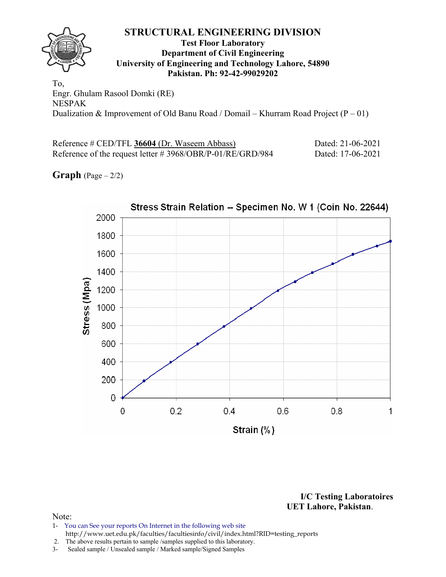#### **STRUCTURAL ENGINEERING DIVISION Test Floor Laboratory Department of Civil Engineering University of Engineering and Technology Lahore, 54890 Pakistan. Ph: 92-42-99029202**

To, Engr. Ghulam Rasool Domki (RE) NESPAK Dualization & Improvement of Old Banu Road / Domail – Khurram Road Project  $(P - 01)$ 

| Reference # CED/TFL 36604 (Dr. Waseem Abbass)             | Dated: 21-06-2021 |
|-----------------------------------------------------------|-------------------|
| Reference of the request letter #3968/OBR/P-01/RE/GRD/984 | Dated: 17-06-2021 |

**Graph**  $(Page - 2/2)$ 



**I/C Testing Laboratoires UET Lahore, Pakistan**.

- 1- You can See your reports On Internet in the following web site http://www.uet.edu.pk/faculties/facultiesinfo/civil/index.html?RID=testing\_reports
- 2. The above results pertain to sample /samples supplied to this laboratory.
- 3- Sealed sample / Unsealed sample / Marked sample/Signed Samples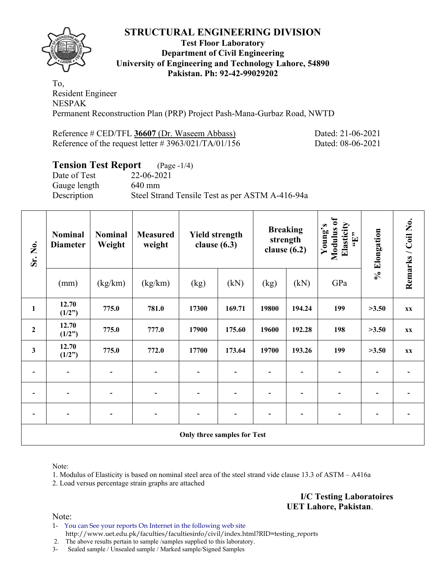

## **Test Floor Laboratory Department of Civil Engineering University of Engineering and Technology Lahore, 54890 Pakistan. Ph: 92-42-99029202**

To, Resident Engineer NESPAK Permanent Reconstruction Plan (PRP) Project Pash-Mana-Gurbaz Road, NWTD

| Reference # CED/TFL 36607 (Dr. Waseem Abbass)       |  |  |
|-----------------------------------------------------|--|--|
| Reference of the request letter #3963/021/TA/01/156 |  |  |

Dated: 21-06-2021 Dated: 08-06-2021

# **Tension Test Report** (Page -1/4)

Date of Test 22-06-2021 Gauge length 640 mm Description Steel Strand Tensile Test as per ASTM A-416-94a

| Sr. No.                     | <b>Nominal</b><br><b>Diameter</b> | <b>Nominal</b><br>Weight | <b>Measured</b><br>weight | <b>Yield strength</b><br>clause $(6.3)$ |        | clause $(6.2)$ | <b>Breaking</b><br>strength | Modulus of<br>Elasticity<br>Young's<br>$\mathbf{H},$ | % Elongation | Remarks / Coil No. |  |
|-----------------------------|-----------------------------------|--------------------------|---------------------------|-----------------------------------------|--------|----------------|-----------------------------|------------------------------------------------------|--------------|--------------------|--|
|                             | (mm)                              | (kg/km)                  | (kg/km)                   | (kg)                                    | (kN)   | (kg)           | (kN)                        | GPa                                                  |              |                    |  |
| $\mathbf{1}$                | 12.70<br>(1/2")                   | 775.0                    | 781.0                     | 17300                                   | 169.71 | 19800          | 194.24                      | 199                                                  | >3.50        | <b>XX</b>          |  |
| $\boldsymbol{2}$            | 12.70<br>(1/2")                   | 775.0                    | 777.0                     | 17900                                   | 175.60 | 19600          | 192.28                      | 198                                                  | >3.50        | <b>XX</b>          |  |
| $\mathbf{3}$                | 12.70<br>(1/2")                   | 775.0                    | 772.0                     | 17700                                   | 173.64 | 19700          | 193.26                      | 199                                                  | >3.50        | <b>XX</b>          |  |
| $\overline{a}$              | $\overline{\phantom{a}}$          |                          |                           | $\overline{a}$                          |        |                |                             |                                                      |              |                    |  |
|                             |                                   |                          |                           |                                         |        |                |                             |                                                      |              |                    |  |
|                             |                                   |                          |                           |                                         |        |                |                             |                                                      |              |                    |  |
| Only three samples for Test |                                   |                          |                           |                                         |        |                |                             |                                                      |              |                    |  |

Note:

1. Modulus of Elasticity is based on nominal steel area of the steel strand vide clause 13.3 of ASTM – A416a

2. Load versus percentage strain graphs are attached

**I/C Testing Laboratoires UET Lahore, Pakistan**.

Note:

1- You can See your reports On Internet in the following web site http://www.uet.edu.pk/faculties/facultiesinfo/civil/index.html?RID=testing\_reports

2. The above results pertain to sample /samples supplied to this laboratory.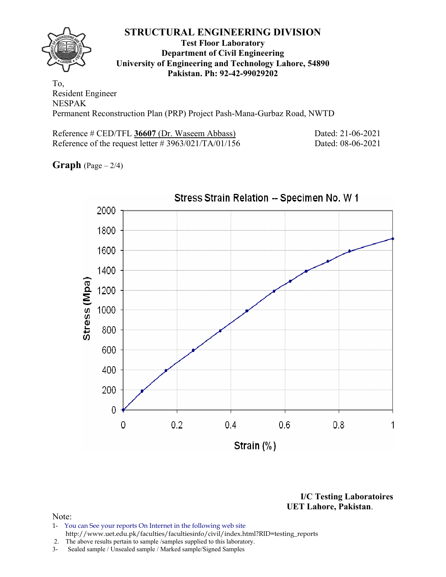

## **Test Floor Laboratory Department of Civil Engineering University of Engineering and Technology Lahore, 54890 Pakistan. Ph: 92-42-99029202**

To, Resident Engineer NESPAK Permanent Reconstruction Plan (PRP) Project Pash-Mana-Gurbaz Road, NWTD

Reference # CED/TFL **36607** (Dr. Waseem Abbass) Dated: 21-06-2021 Reference of the request letter # 3963/021/TA/01/156 Dated: 08-06-2021

**Graph** (Page – 2/4)



**I/C Testing Laboratoires UET Lahore, Pakistan**.

- 1- You can See your reports On Internet in the following web site http://www.uet.edu.pk/faculties/facultiesinfo/civil/index.html?RID=testing\_reports
- 2. The above results pertain to sample /samples supplied to this laboratory.
- 3- Sealed sample / Unsealed sample / Marked sample/Signed Samples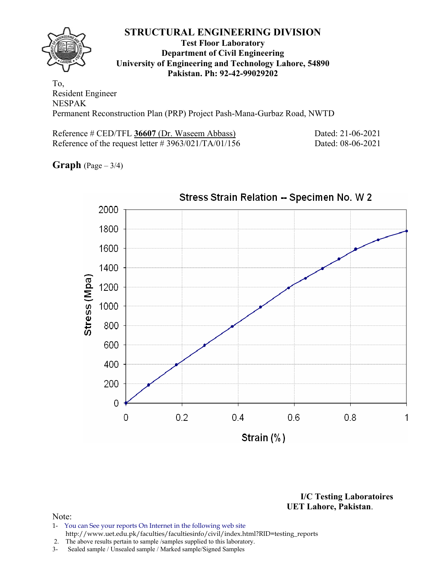

## **Test Floor Laboratory Department of Civil Engineering University of Engineering and Technology Lahore, 54890 Pakistan. Ph: 92-42-99029202**

To, Resident Engineer NESPAK Permanent Reconstruction Plan (PRP) Project Pash-Mana-Gurbaz Road, NWTD

Reference # CED/TFL **36607** (Dr. Waseem Abbass) Dated: 21-06-2021 Reference of the request letter # 3963/021/TA/01/156 Dated: 08-06-2021

**Graph**  $(Page - 3/4)$ 



**I/C Testing Laboratoires UET Lahore, Pakistan**.

- 1- You can See your reports On Internet in the following web site http://www.uet.edu.pk/faculties/facultiesinfo/civil/index.html?RID=testing\_reports
- 2. The above results pertain to sample /samples supplied to this laboratory.
- 3- Sealed sample / Unsealed sample / Marked sample/Signed Samples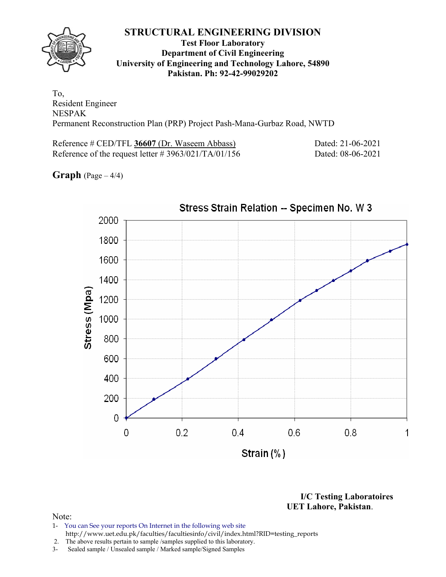## **Test Floor Laboratory Department of Civil Engineering University of Engineering and Technology Lahore, 54890 Pakistan. Ph: 92-42-99029202**

To, Resident Engineer NESPAK Permanent Reconstruction Plan (PRP) Project Pash-Mana-Gurbaz Road, NWTD

Reference # CED/TFL **36607** (Dr. Waseem Abbass) Dated: 21-06-2021 Reference of the request letter # 3963/021/TA/01/156 Dated: 08-06-2021

**Graph**  $(Page - 4/4)$ 



**I/C Testing Laboratoires UET Lahore, Pakistan**.

- 1- You can See your reports On Internet in the following web site http://www.uet.edu.pk/faculties/facultiesinfo/civil/index.html?RID=testing\_reports
- 2. The above results pertain to sample /samples supplied to this laboratory.
- 3- Sealed sample / Unsealed sample / Marked sample/Signed Samples